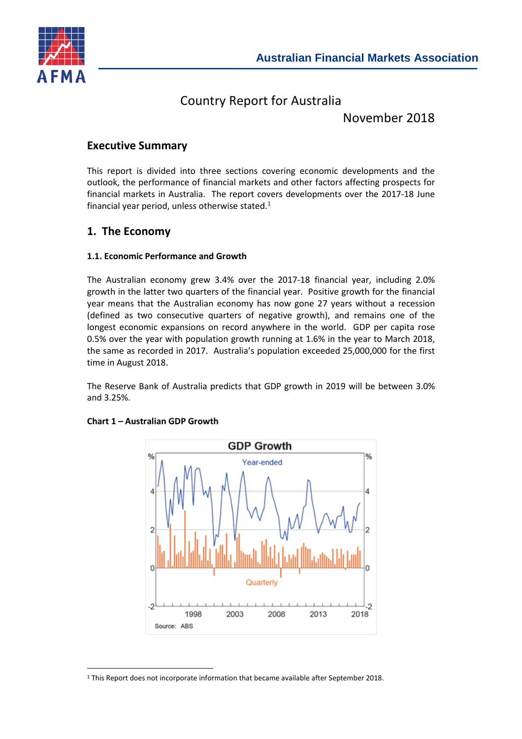

# Country Report for Australia

November 2018

### **Executive Summary**

This report is divided into three sections covering economic developments and the outlook, the performance of financial markets and other factors affecting prospects for financial markets in Australia. The report covers developments over the 2017-18 June financial year period, unless otherwise stated. $1$ 

### **1. The Economy**

#### **1.1. Economic Performance and Growth**

The Australian economy grew 3.4% over the 2017-18 financial year, including 2.0% growth in the latter two quarters of the financial year. Positive growth for the financial year means that the Australian economy has now gone 27 years without a recession (defined as two consecutive quarters of negative growth), and remains one of the longest economic expansions on record anywhere in the world. GDP per capita rose 0.5% over the year with population growth running at 1.6% in the year to March 2018, the same as recorded in 2017. Australia's population exceeded 25,000,000 for the first time in August 2018.

The Reserve Bank of Australia predicts that GDP growth in 2019 will be between 3.0% and 3.25%.



#### **Chart 1 – Australian GDP Growth**

l

<span id="page-0-0"></span><sup>1</sup> This Report does not incorporate information that became available after September 2018.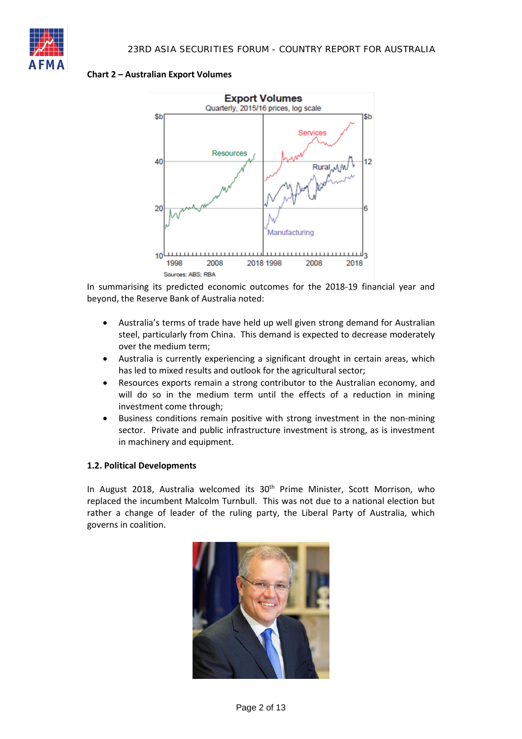

#### **Chart 2 – Australian Export Volumes**



In summarising its predicted economic outcomes for the 2018-19 financial year and beyond, the Reserve Bank of Australia noted:

- Australia's terms of trade have held up well given strong demand for Australian steel, particularly from China. This demand is expected to decrease moderately over the medium term;
- Australia is currently experiencing a significant drought in certain areas, which has led to mixed results and outlook for the agricultural sector;
- Resources exports remain a strong contributor to the Australian economy, and will do so in the medium term until the effects of a reduction in mining investment come through;
- Business conditions remain positive with strong investment in the non-mining sector. Private and public infrastructure investment is strong, as is investment in machinery and equipment.

#### **1.2. Political Developments**

In August 2018, Australia welcomed its  $30<sup>th</sup>$  Prime Minister, Scott Morrison, who replaced the incumbent Malcolm Turnbull. This was not due to a national election but rather a change of leader of the ruling party, the Liberal Party of Australia, which governs in coalition.

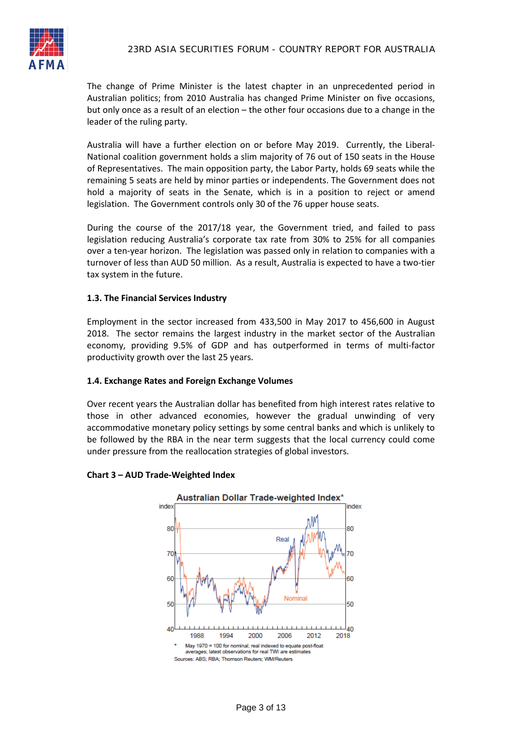The change of Prime Minister is the latest chapter in an unprecedented period in Australian politics; from 2010 Australia has changed Prime Minister on five occasions, but only once as a result of an election – the other four occasions due to a change in the leader of the ruling party.

Australia will have a further election on or before May 2019. Currently, the Liberal-National coalition government holds a slim majority of 76 out of 150 seats in the House of Representatives. The main opposition party, the Labor Party, holds 69 seats while the remaining 5 seats are held by minor parties or independents. The Government does not hold a majority of seats in the Senate, which is in a position to reject or amend legislation. The Government controls only 30 of the 76 upper house seats.

During the course of the 2017/18 year, the Government tried, and failed to pass legislation reducing Australia's corporate tax rate from 30% to 25% for all companies over a ten-year horizon. The legislation was passed only in relation to companies with a turnover of less than AUD 50 million. As a result, Australia is expected to have a two-tier tax system in the future.

#### **1.3. The Financial Services Industry**

Employment in the sector increased from 433,500 in May 2017 to 456,600 in August 2018. The sector remains the largest industry in the market sector of the Australian economy, providing 9.5% of GDP and has outperformed in terms of multi-factor productivity growth over the last 25 years.

#### **1.4. Exchange Rates and Foreign Exchange Volumes**

Over recent years the Australian dollar has benefited from high interest rates relative to those in other advanced economies, however the gradual unwinding of very accommodative monetary policy settings by some central banks and which is unlikely to be followed by the RBA in the near term suggests that the local currency could come under pressure from the reallocation strategies of global investors.

#### **Chart 3 – AUD Trade-Weighted Index**

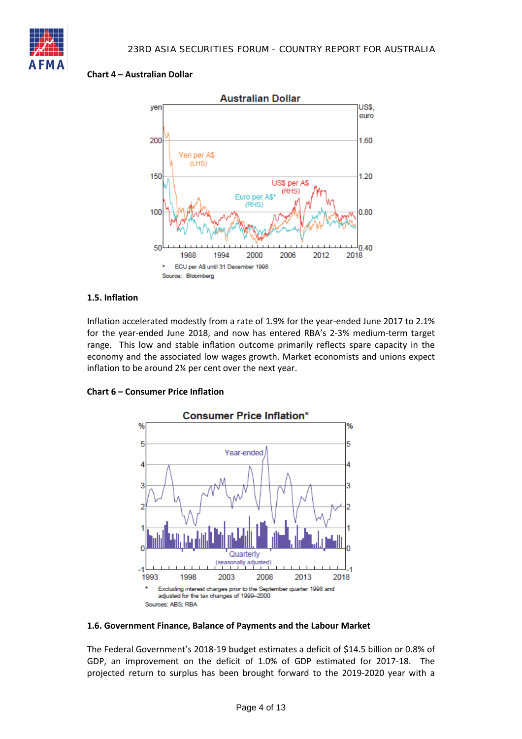

#### **Chart 4 – Australian Dollar**



#### **1.5. Inflation**

Inflation accelerated modestly from a rate of 1.9% for the year-ended June 2017 to 2.1% for the year-ended June 2018, and now has entered RBA's 2-3% medium-term target range. This low and stable inflation outcome primarily reflects spare capacity in the economy and the associated low wages growth. Market economists and unions expect inflation to be around 2¼ per cent over the next year.



#### **Chart 6 – Consumer Price Inflation**

#### **1.6. Government Finance, Balance of Payments and the Labour Market**

The Federal Government's 2018-19 budget estimates a deficit of \$14.5 billion or 0.8% of GDP, an improvement on the deficit of 1.0% of GDP estimated for 2017-18. The projected return to surplus has been brought forward to the 2019-2020 year with a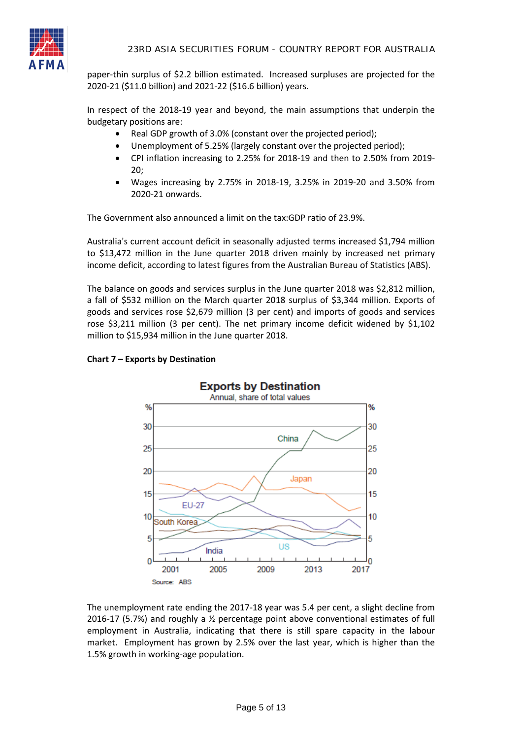

paper-thin surplus of \$2.2 billion estimated. Increased surpluses are projected for the 2020-21 (\$11.0 billion) and 2021-22 (\$16.6 billion) years.

In respect of the 2018-19 year and beyond, the main assumptions that underpin the budgetary positions are:

- Real GDP growth of 3.0% (constant over the projected period);
- Unemployment of 5.25% (largely constant over the projected period);
- CPI inflation increasing to 2.25% for 2018-19 and then to 2.50% from 2019- 20;
- Wages increasing by 2.75% in 2018-19, 3.25% in 2019-20 and 3.50% from 2020-21 onwards.

The Government also announced a limit on the tax:GDP ratio of 23.9%.

Australia's current account deficit in seasonally adjusted terms increased \$1,794 million to \$13,472 million in the June quarter 2018 driven mainly by increased net primary income deficit, according to latest figures from the Australian Bureau of Statistics (ABS).

The balance on goods and services surplus in the June quarter 2018 was \$2,812 million, a fall of \$532 million on the March quarter 2018 surplus of \$3,344 million. Exports of goods and services rose \$2,679 million (3 per cent) and imports of goods and services rose \$3,211 million (3 per cent). The net primary income deficit widened by \$1,102 million to \$15,934 million in the June quarter 2018.



#### **Chart 7 – Exports by Destination**

The unemployment rate ending the 2017-18 year was 5.4 per cent, a slight decline from 2016-17 (5.7%) and roughly a ½ percentage point above conventional estimates of full employment in Australia, indicating that there is still spare capacity in the labour market. Employment has grown by 2.5% over the last year, which is higher than the 1.5% growth in working-age population.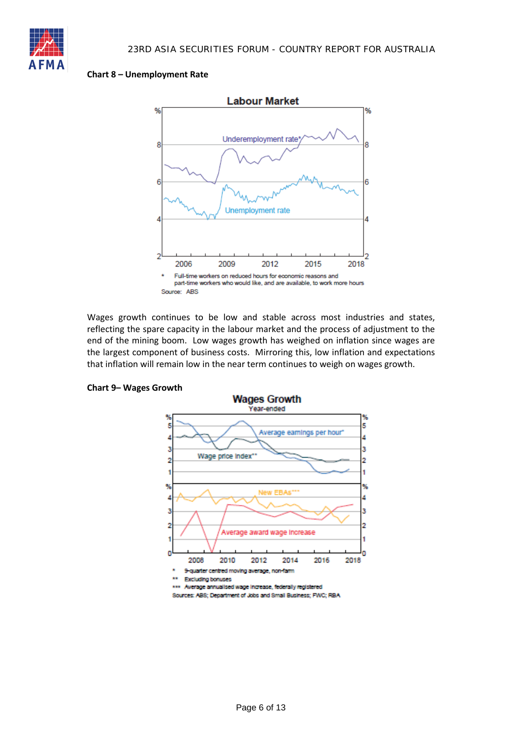

#### **Chart 8 – Unemployment Rate**



Wages growth continues to be low and stable across most industries and states, reflecting the spare capacity in the labour market and the process of adjustment to the end of the mining boom. Low wages growth has weighed on inflation since wages are the largest component of business costs. Mirroring this, low inflation and expectations that inflation will remain low in the near term continues to weigh on wages growth.



#### **Chart 9– Wages Growth**

\*\*\* Average annualised wage increase, federally registered

Sources: ABS; Department of Jobs and Small Business; FWC; RBA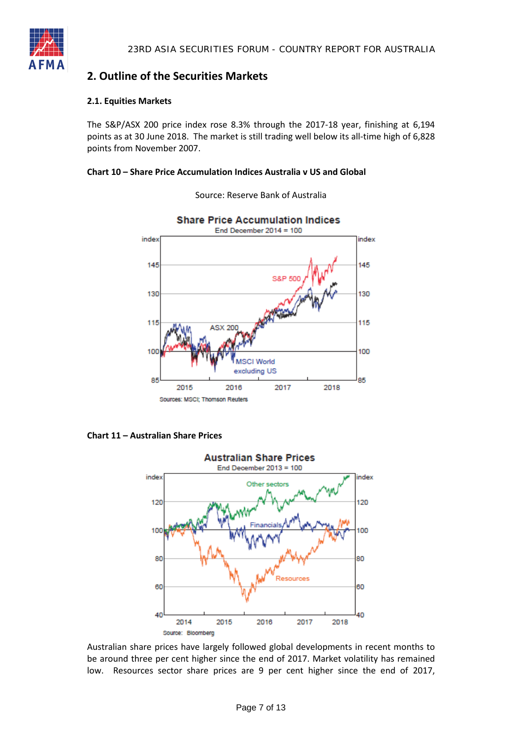

## **2. Outline of the Securities Markets**

#### **2.1. Equities Markets**

The S&P/ASX 200 price index rose 8.3% through the 2017-18 year, finishing at 6,194 points as at 30 June 2018. The market is still trading well below its all-time high of 6,828 points from November 2007.

#### **Chart 10 – Share Price Accumulation Indices Australia v US and Global**



Source: Reserve Bank of Australia

**Chart 11 – Australian Share Prices**



Australian share prices have largely followed global developments in recent months to be around three per cent higher since the end of 2017. Market volatility has remained low. Resources sector share prices are 9 per cent higher since the end of 2017,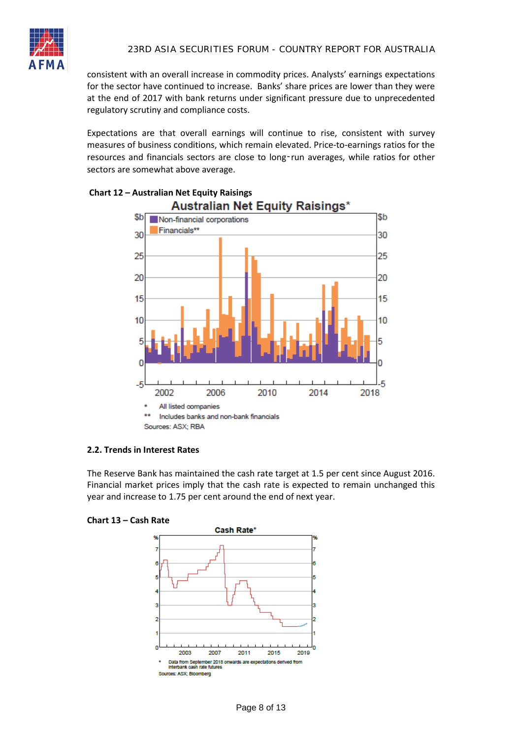

consistent with an overall increase in commodity prices. Analysts' earnings expectations for the sector have continued to increase. Banks' share prices are lower than they were at the end of 2017 with bank returns under significant pressure due to unprecedented regulatory scrutiny and compliance costs.

Expectations are that overall earnings will continue to rise, consistent with survey measures of business conditions, which remain elevated. Price-to-earnings ratios for the resources and financials sectors are close to long-run averages, while ratios for other sectors are somewhat above average.



## **Chart 12 – Australian Net Equity Raisings**

#### **2.2. Trends in Interest Rates**

The Reserve Bank has maintained the cash rate target at 1.5 per cent since August 2016. Financial market prices imply that the cash rate is expected to remain unchanged this year and increase to 1.75 per cent around the end of next year.



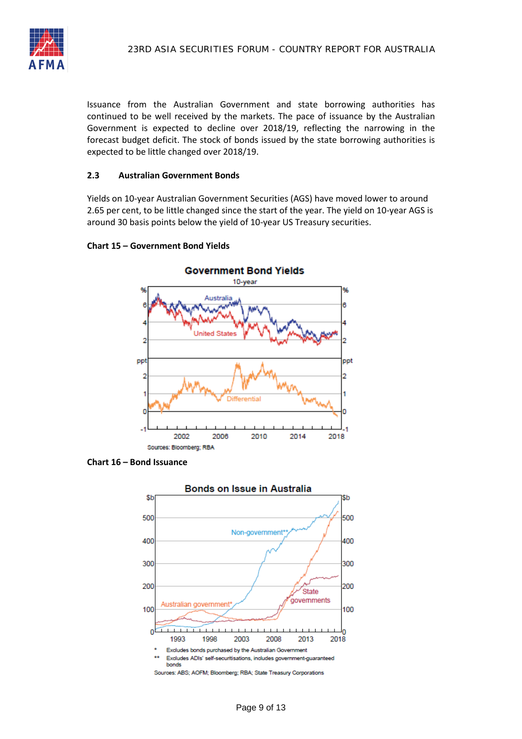

Issuance from the Australian Government and state borrowing authorities has continued to be well received by the markets. The pace of issuance by the Australian Government is expected to decline over 2018/19, reflecting the narrowing in the forecast budget deficit. The stock of bonds issued by the state borrowing authorities is expected to be little changed over 2018/19.

#### **2.3 Australian Government Bonds**

Yields on 10-year Australian Government Securities (AGS) have moved lower to around 2.65 per cent, to be little changed since the start of the year. The yield on 10-year AGS is around 30 basis points below the yield of 10-year US Treasury securities.

#### **Chart 15 – Government Bond Yields**



**Chart 16 – Bond Issuance**

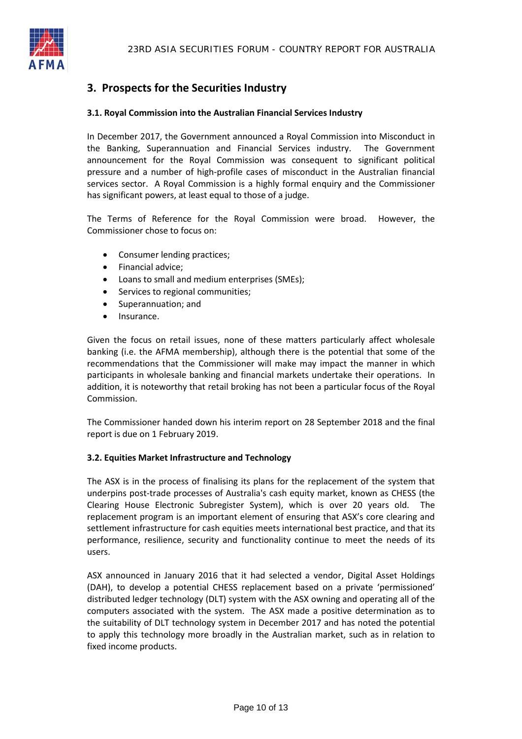

# **3. Prospects for the Securities Industry**

#### **3.1. Royal Commission into the Australian Financial Services Industry**

In December 2017, the Government announced a Royal Commission into Misconduct in the Banking, Superannuation and Financial Services industry. The Government announcement for the Royal Commission was consequent to significant political pressure and a number of high-profile cases of misconduct in the Australian financial services sector. A Royal Commission is a highly formal enquiry and the Commissioner has significant powers, at least equal to those of a judge.

The Terms of Reference for the Royal Commission were broad. However, the Commissioner chose to focus on:

- Consumer lending practices;
- Financial advice;
- Loans to small and medium enterprises (SMEs);
- Services to regional communities;
- Superannuation; and
- Insurance.

Given the focus on retail issues, none of these matters particularly affect wholesale banking (i.e. the AFMA membership), although there is the potential that some of the recommendations that the Commissioner will make may impact the manner in which participants in wholesale banking and financial markets undertake their operations. In addition, it is noteworthy that retail broking has not been a particular focus of the Royal Commission.

The Commissioner handed down his interim report on 28 September 2018 and the final report is due on 1 February 2019.

#### **3.2. Equities Market Infrastructure and Technology**

The ASX is in the process of finalising its plans for the replacement of the system that underpins post-trade processes of Australia's cash equity market, known as CHESS (the Clearing House Electronic Subregister System), which is over 20 years old. The replacement program is an important element of ensuring that ASX's core clearing and settlement infrastructure for cash equities meets international best practice, and that its performance, resilience, security and functionality continue to meet the needs of its users.

ASX announced in January 2016 that it had selected a vendor, Digital Asset Holdings (DAH), to develop a potential CHESS replacement based on a private 'permissioned' distributed ledger technology (DLT) system with the ASX owning and operating all of the computers associated with the system. The ASX made a positive determination as to the suitability of DLT technology system in December 2017 and has noted the potential to apply this technology more broadly in the Australian market, such as in relation to fixed income products.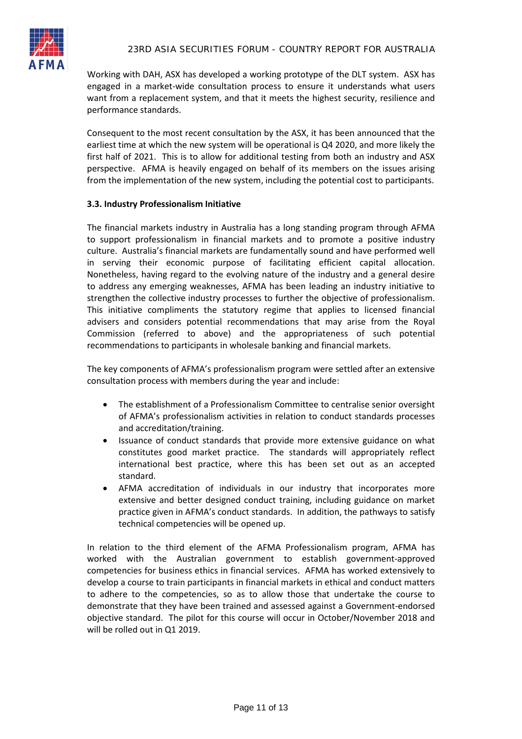Working with DAH, ASX has developed a working prototype of the DLT system. ASX has engaged in a market-wide consultation process to ensure it understands what users want from a replacement system, and that it meets the highest security, resilience and performance standards.

Consequent to the most recent consultation by the ASX, it has been announced that the earliest time at which the new system will be operational is Q4 2020, and more likely the first half of 2021. This is to allow for additional testing from both an industry and ASX perspective. AFMA is heavily engaged on behalf of its members on the issues arising from the implementation of the new system, including the potential cost to participants.

#### **3.3. Industry Professionalism Initiative**

The financial markets industry in Australia has a long standing program through AFMA to support professionalism in financial markets and to promote a positive industry culture. Australia's financial markets are fundamentally sound and have performed well in serving their economic purpose of facilitating efficient capital allocation. Nonetheless, having regard to the evolving nature of the industry and a general desire to address any emerging weaknesses, AFMA has been leading an industry initiative to strengthen the collective industry processes to further the objective of professionalism. This initiative compliments the statutory regime that applies to licensed financial advisers and considers potential recommendations that may arise from the Royal Commission (referred to above) and the appropriateness of such potential recommendations to participants in wholesale banking and financial markets.

The key components of AFMA's professionalism program were settled after an extensive consultation process with members during the year and include:

- The establishment of a Professionalism Committee to centralise senior oversight of AFMA's professionalism activities in relation to conduct standards processes and accreditation/training.
- Issuance of conduct standards that provide more extensive guidance on what constitutes good market practice. The standards will appropriately reflect international best practice, where this has been set out as an accepted standard.
- AFMA accreditation of individuals in our industry that incorporates more extensive and better designed conduct training, including guidance on market practice given in AFMA's conduct standards. In addition, the pathways to satisfy technical competencies will be opened up.

In relation to the third element of the AFMA Professionalism program, AFMA has worked with the Australian government to establish government-approved competencies for business ethics in financial services. AFMA has worked extensively to develop a course to train participants in financial markets in ethical and conduct matters to adhere to the competencies, so as to allow those that undertake the course to demonstrate that they have been trained and assessed against a Government-endorsed objective standard. The pilot for this course will occur in October/November 2018 and will be rolled out in Q1 2019.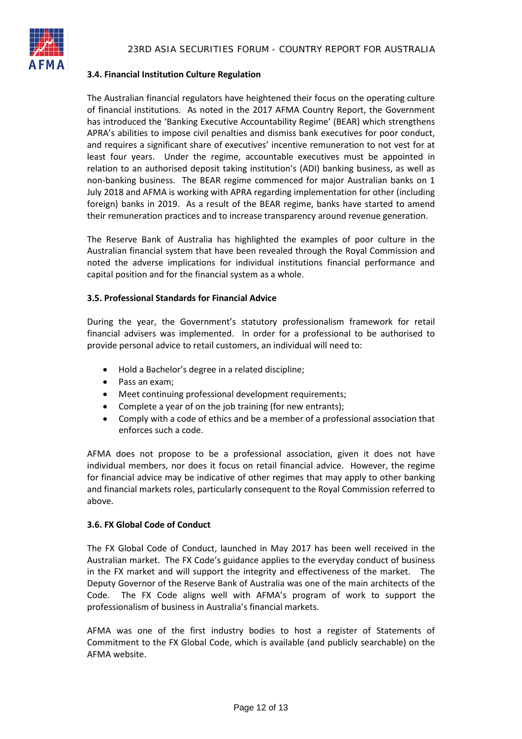#### **3.4. Financial Institution Culture Regulation**

The Australian financial regulators have heightened their focus on the operating culture of financial institutions. As noted in the 2017 AFMA Country Report, the Government has introduced the 'Banking Executive Accountability Regime' (BEAR) which strengthens APRA's abilities to impose civil penalties and dismiss bank executives for poor conduct, and requires a significant share of executives' incentive remuneration to not vest for at least four years. Under the regime, accountable executives must be appointed in relation to an authorised deposit taking institution's (ADI) banking business, as well as non-banking business. The BEAR regime commenced for major Australian banks on 1 July 2018 and AFMA is working with APRA regarding implementation for other (including foreign) banks in 2019. As a result of the BEAR regime, banks have started to amend their remuneration practices and to increase transparency around revenue generation.

The Reserve Bank of Australia has highlighted the examples of poor culture in the Australian financial system that have been revealed through the Royal Commission and noted the adverse implications for individual institutions financial performance and capital position and for the financial system as a whole.

#### **3.5. Professional Standards for Financial Advice**

During the year, the Government's statutory professionalism framework for retail financial advisers was implemented. In order for a professional to be authorised to provide personal advice to retail customers, an individual will need to:

- Hold a Bachelor's degree in a related discipline;
- Pass an exam;
- Meet continuing professional development requirements;
- Complete a year of on the job training (for new entrants);
- Comply with a code of ethics and be a member of a professional association that enforces such a code.

AFMA does not propose to be a professional association, given it does not have individual members, nor does it focus on retail financial advice. However, the regime for financial advice may be indicative of other regimes that may apply to other banking and financial markets roles, particularly consequent to the Royal Commission referred to above.

#### **3.6. FX Global Code of Conduct**

The FX Global Code of Conduct, launched in May 2017 has been well received in the Australian market. The FX Code's guidance applies to the everyday conduct of business in the FX market and will support the integrity and effectiveness of the market. The Deputy Governor of the Reserve Bank of Australia was one of the main architects of the Code. The FX Code aligns well with AFMA's program of work to support the professionalism of business in Australia's financial markets.

AFMA was one of the first industry bodies to host a register of Statements of Commitment to the FX Global Code, which is available (and publicly searchable) on the AFMA website.